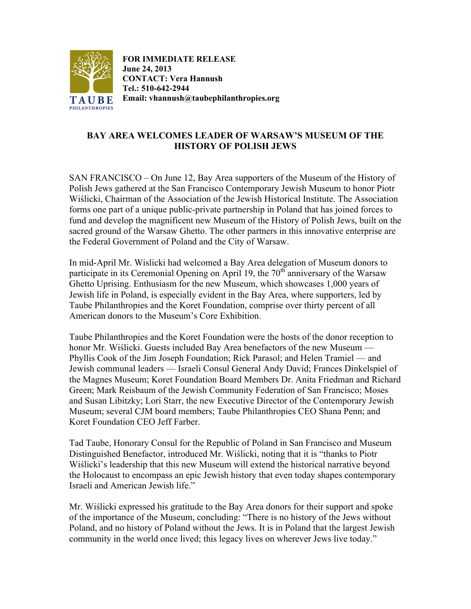

**FOR IMMEDIATE RELEASE June 24, 2013 CONTACT: Vera Hannush Tel.: 510-642-2944 Email: vhannush@taubephilanthropies.org**

## **BAY AREA WELCOMES LEADER OF WARSAW'S MUSEUM OF THE HISTORY OF POLISH JEWS**

SAN FRANCISCO – On June 12, Bay Area supporters of the Museum of the History of Polish Jews gathered at the San Francisco Contemporary Jewish Museum to honor Piotr Wiślicki, Chairman of the Association of the Jewish Historical Institute. The Association forms one part of a unique public-private partnership in Poland that has joined forces to fund and develop the magnificent new Museum of the History of Polish Jews, built on the sacred ground of the Warsaw Ghetto. The other partners in this innovative enterprise are the Federal Government of Poland and the City of Warsaw.

In mid-April Mr. Wislicki had welcomed a Bay Area delegation of Museum donors to participate in its Ceremonial Opening on April 19, the  $70<sup>th</sup>$  anniversary of the Warsaw Ghetto Uprising. Enthusiasm for the new Museum, which showcases 1,000 years of Jewish life in Poland, is especially evident in the Bay Area, where supporters, led by Taube Philanthropies and the Koret Foundation, comprise over thirty percent of all American donors to the Museum's Core Exhibition.

Taube Philanthropies and the Koret Foundation were the hosts of the donor reception to honor Mr. Wiślicki. Guests included Bay Area benefactors of the new Museum — Phyllis Cook of the Jim Joseph Foundation; Rick Parasol; and Helen Tramiel — and Jewish communal leaders — Israeli Consul General Andy David; Frances Dinkelspiel of the Magnes Museum; Koret Foundation Board Members Dr. Anita Friedman and Richard Green; Mark Reisbaum of the Jewish Community Federation of San Francisco; Moses and Susan Libitzky; Lori Starr, the new Executive Director of the Contemporary Jewish Museum; several CJM board members; Taube Philanthropies CEO Shana Penn; and Koret Foundation CEO Jeff Farber.

Tad Taube, Honorary Consul for the Republic of Poland in San Francisco and Museum Distinguished Benefactor, introduced Mr. Wiślicki, noting that it is "thanks to Piotr Wiślicki's leadership that this new Museum will extend the historical narrative beyond the Holocaust to encompass an epic Jewish history that even today shapes contemporary Israeli and American Jewish life."

Mr. Wiślicki expressed his gratitude to the Bay Area donors for their support and spoke of the importance of the Museum, concluding: "There is no history of the Jews without Poland, and no history of Poland without the Jews. It is in Poland that the largest Jewish community in the world once lived; this legacy lives on wherever Jews live today."